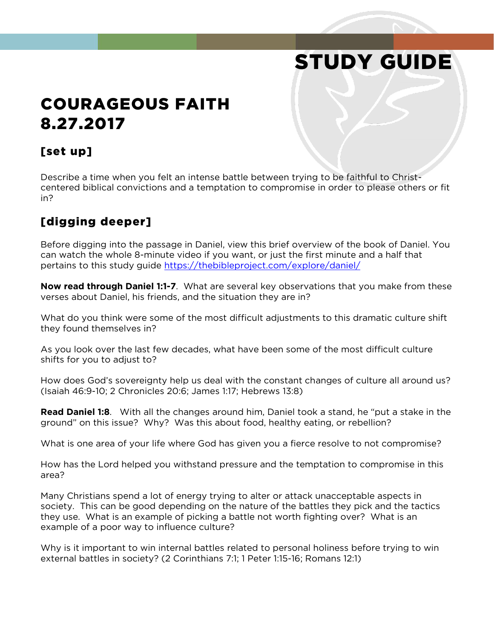# STUDY GUIDE

## COURAGEOUS FAITH 8.27.2017

#### [set up]

Describe a time when you felt an intense battle between trying to be faithful to Christcentered biblical convictions and a temptation to compromise in order to please others or fit in?

### [digging deeper]

Before digging into the passage in Daniel, view this brief overview of the book of Daniel. You can watch the whole 8-minute video if you want, or just the first minute and a half that pertains to this study guide<https://thebibleproject.com/explore/daniel/>

**Now read through Daniel 1:1-7**. What are several key observations that you make from these verses about Daniel, his friends, and the situation they are in?

What do you think were some of the most difficult adjustments to this dramatic culture shift they found themselves in?

As you look over the last few decades, what have been some of the most difficult culture shifts for you to adjust to?

How does God's sovereignty help us deal with the constant changes of culture all around us? (Isaiah 46:9-10; 2 Chronicles 20:6; James 1:17; Hebrews 13:8)

**Read Daniel 1:8**. With all the changes around him, Daniel took a stand, he "put a stake in the ground" on this issue? Why? Was this about food, healthy eating, or rebellion?

What is one area of your life where God has given you a fierce resolve to not compromise?

How has the Lord helped you withstand pressure and the temptation to compromise in this area?

Many Christians spend a lot of energy trying to alter or attack unacceptable aspects in society. This can be good depending on the nature of the battles they pick and the tactics they use. What is an example of picking a battle not worth fighting over? What is an example of a poor way to influence culture?

Why is it important to win internal battles related to personal holiness before trying to win external battles in society? (2 Corinthians 7:1; 1 Peter 1:15-16; Romans 12:1)